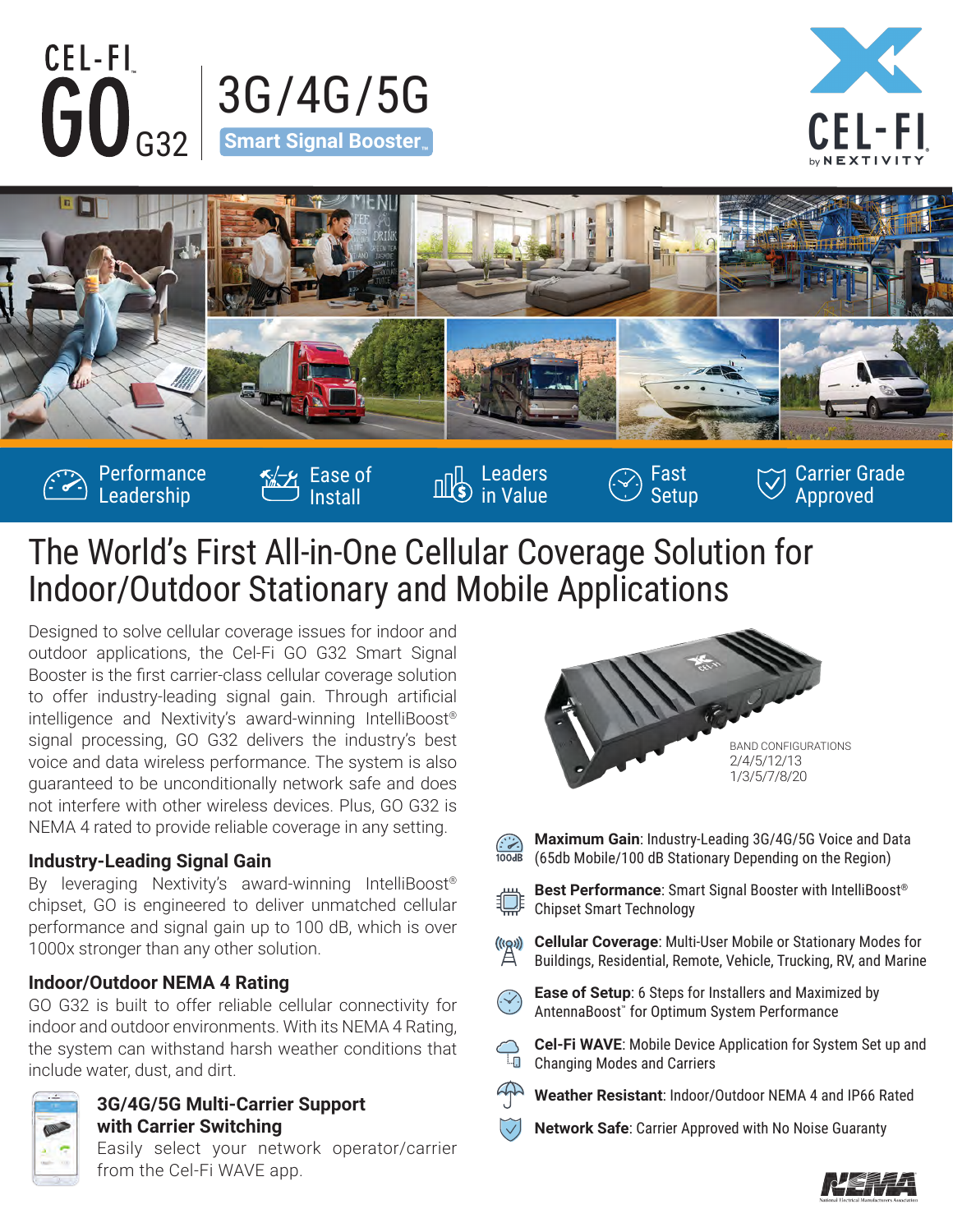



Approved



in Value

## The World's First All-in-One Cellular Coverage Solution for Indoor/Outdoor Stationary and Mobile Applications

Install

Designed to solve cellular coverage issues for indoor and outdoor applications, the Cel-Fi GO G32 Smart Signal Booster is the first carrier-class cellular coverage solution to offer industry-leading signal gain. Through artificial intelligence and Nextivity's award-winning IntelliBoost® signal processing, GO G32 delivers the industry's best voice and data wireless performance. The system is also guaranteed to be unconditionally network safe and does not interfere with other wireless devices. Plus, GO G32 is NEMA 4 rated to provide reliable coverage in any setting.

#### **Industry-Leading Signal Gain**

Leadership

By leveraging Nextivity's award-winning IntelliBoost® chipset, GO is engineered to deliver unmatched cellular performance and signal gain up to 100 dB, which is over 1000x stronger than any other solution.

### **Indoor/Outdoor NEMA 4 Rating**

GO G32 is built to offer reliable cellular connectivity for indoor and outdoor environments. With its NEMA 4 Rating, the system can withstand harsh weather conditions that include water, dust, and dirt.



### **3G/4G/5G Multi-Carrier Support with Carrier Switching**

Easily select your network operator/carrier from the Cel-Fi WAVE app.



Setup

- $100dB$
- **Maximum Gain**: Industry-Leading 3G/4G/5G Voice and Data (65db Mobile/100 dB Stationary Depending on the Region)



**Best Performance**: Smart Signal Booster with IntelliBoost® Chipset Smart Technology

 $\overset{(\text{(rgs)})}{\mathbb{A}}$ **Cellular Coverage**: Multi-User Mobile or Stationary Modes for Buildings, Residential, Remote, Vehicle, Trucking, RV, and Marine



**Cel-Fi WAVE**: Mobile Device Application for System Set up and  $\overline{\mathbb{L}}$ Changing Modes and Carriers



**Network Safe**: Carrier Approved with No Noise Guaranty